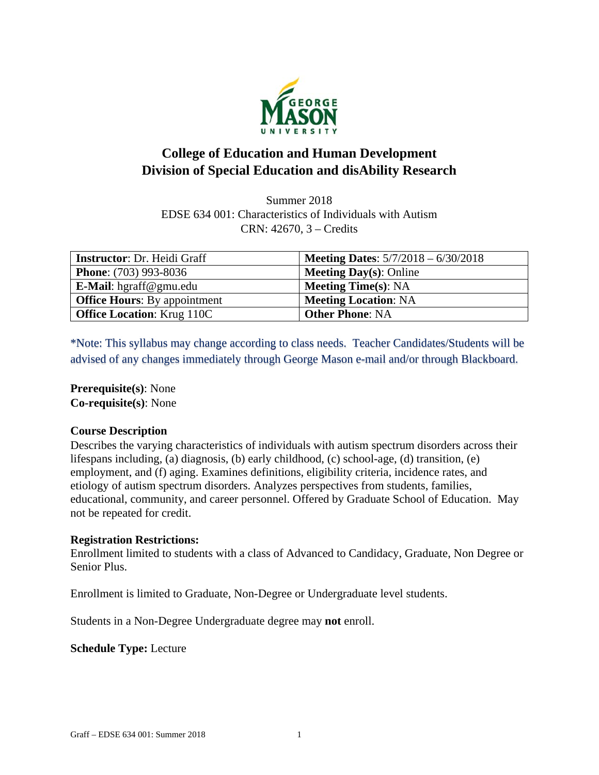

# **College of Education and Human Development Division of Special Education and disAbility Research**

Summer 2018 EDSE 634 001: Characteristics of Individuals with Autism CRN: 42670, 3 – Credits

| <b>Instructor: Dr. Heidi Graff</b>  | <b>Meeting Dates:</b> $5/7/2018 - 6/30/2018$ |
|-------------------------------------|----------------------------------------------|
| <b>Phone:</b> (703) 993-8036        | <b>Meeting Day(s): Online</b>                |
| E-Mail: hgraff@gmu.edu              | <b>Meeting Time(s): NA</b>                   |
| <b>Office Hours:</b> By appointment | <b>Meeting Location: NA</b>                  |
| <b>Office Location: Krug 110C</b>   | <b>Other Phone: NA</b>                       |

\*Note: This syllabus may change according to class needs. Teacher Candidates/Students will be advised of any changes immediately through George Mason e-mail and/or through Blackboard.

**Prerequisite(s)**: None **Co-requisite(s)**: None

#### **Course Description**

Describes the varying characteristics of individuals with autism spectrum disorders across their lifespans including, (a) diagnosis, (b) early childhood, (c) school-age, (d) transition, (e) employment, and (f) aging. Examines definitions, eligibility criteria, incidence rates, and etiology of autism spectrum disorders. Analyzes perspectives from students, families, educational, community, and career personnel. Offered by Graduate School of Education. May not be repeated for credit.

#### **Registration Restrictions:**

Enrollment limited to students with a class of Advanced to Candidacy, Graduate, Non Degree or Senior Plus.

Enrollment is limited to Graduate, Non-Degree or Undergraduate level students.

Students in a Non-Degree Undergraduate degree may **not** enroll.

**Schedule Type:** Lecture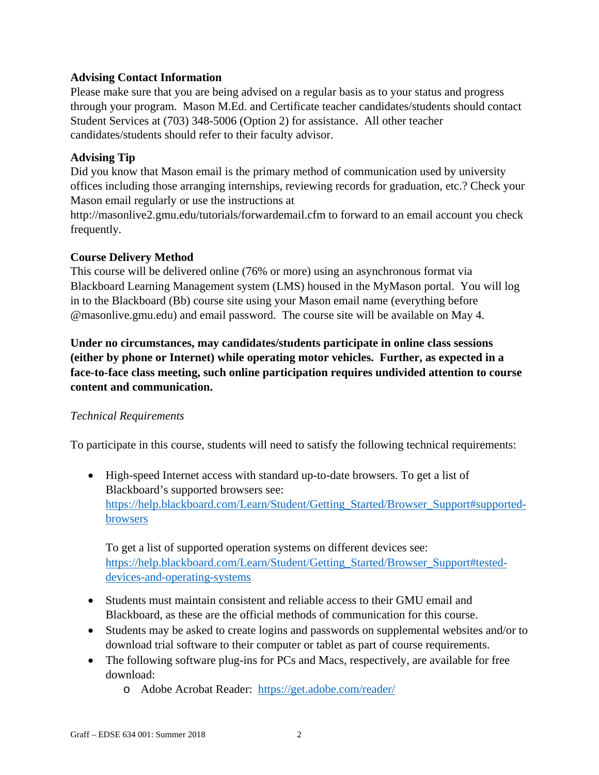## **Advising Contact Information**

Please make sure that you are being advised on a regular basis as to your status and progress through your program. Mason M.Ed. and Certificate teacher candidates/students should contact Student Services at (703) 348-5006 (Option 2) for assistance. All other teacher candidates/students should refer to their faculty advisor.

## **Advising Tip**

Did you know that Mason email is the primary method of communication used by university offices including those arranging internships, reviewing records for graduation, etc.? Check your Mason email regularly or use the instructions at

http://masonlive2.gmu.edu/tutorials/forwardemail.cfm to forward to an email account you check frequently.

## **Course Delivery Method**

This course will be delivered online (76% or more) using an asynchronous format via Blackboard Learning Management system (LMS) housed in the MyMason portal. You will log in to the Blackboard (Bb) course site using your Mason email name (everything before @masonlive.gmu.edu) and email password. The course site will be available on May 4.

**Under no circumstances, may candidates/students participate in online class sessions (either by phone or Internet) while operating motor vehicles. Further, as expected in a face-to-face class meeting, such online participation requires undivided attention to course content and communication.** 

## *Technical Requirements*

To participate in this course, students will need to satisfy the following technical requirements:

 High-speed Internet access with standard up-to-date browsers. To get a list of Blackboard's supported browsers see: https://help.blackboard.com/Learn/Student/Getting\_Started/Browser\_Support#supportedbrowsers

To get a list of supported operation systems on different devices see: https://help.blackboard.com/Learn/Student/Getting\_Started/Browser\_Support#testeddevices-and-operating-systems

- Students must maintain consistent and reliable access to their GMU email and Blackboard, as these are the official methods of communication for this course.
- Students may be asked to create logins and passwords on supplemental websites and/or to download trial software to their computer or tablet as part of course requirements.
- The following software plug-ins for PCs and Macs, respectively, are available for free download:
	- o Adobe Acrobat Reader: https://get.adobe.com/reader/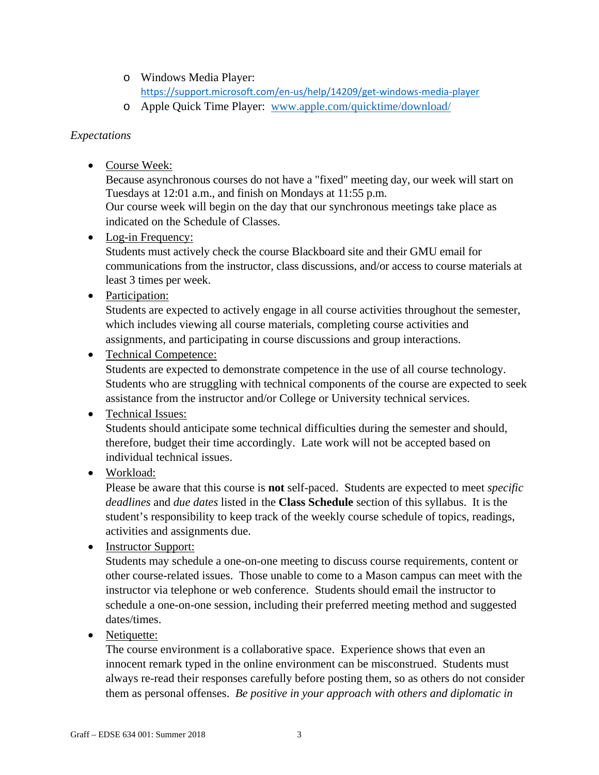- o Windows Media Player: https://support.microsoft.com/en‐us/help/14209/get‐windows‐media‐player
- o Apple Quick Time Player: www.apple.com/quicktime/download/

## *Expectations*

• Course Week:

Because asynchronous courses do not have a "fixed" meeting day, our week will start on Tuesdays at 12:01 a.m., and finish on Mondays at 11:55 p.m. Our course week will begin on the day that our synchronous meetings take place as indicated on the Schedule of Classes.

• Log-in Frequency:

Students must actively check the course Blackboard site and their GMU email for communications from the instructor, class discussions, and/or access to course materials at least 3 times per week.

• Participation:

Students are expected to actively engage in all course activities throughout the semester, which includes viewing all course materials, completing course activities and assignments, and participating in course discussions and group interactions.

• Technical Competence:

Students are expected to demonstrate competence in the use of all course technology. Students who are struggling with technical components of the course are expected to seek assistance from the instructor and/or College or University technical services.

## • Technical Issues:

Students should anticipate some technical difficulties during the semester and should, therefore, budget their time accordingly. Late work will not be accepted based on individual technical issues.

• Workload:

Please be aware that this course is **not** self-paced. Students are expected to meet *specific deadlines* and *due dates* listed in the **Class Schedule** section of this syllabus. It is the student's responsibility to keep track of the weekly course schedule of topics, readings, activities and assignments due.

• Instructor Support:

Students may schedule a one-on-one meeting to discuss course requirements, content or other course-related issues. Those unable to come to a Mason campus can meet with the instructor via telephone or web conference. Students should email the instructor to schedule a one-on-one session, including their preferred meeting method and suggested dates/times.

• Netiquette:

The course environment is a collaborative space. Experience shows that even an innocent remark typed in the online environment can be misconstrued. Students must always re-read their responses carefully before posting them, so as others do not consider them as personal offenses. *Be positive in your approach with others and diplomatic in*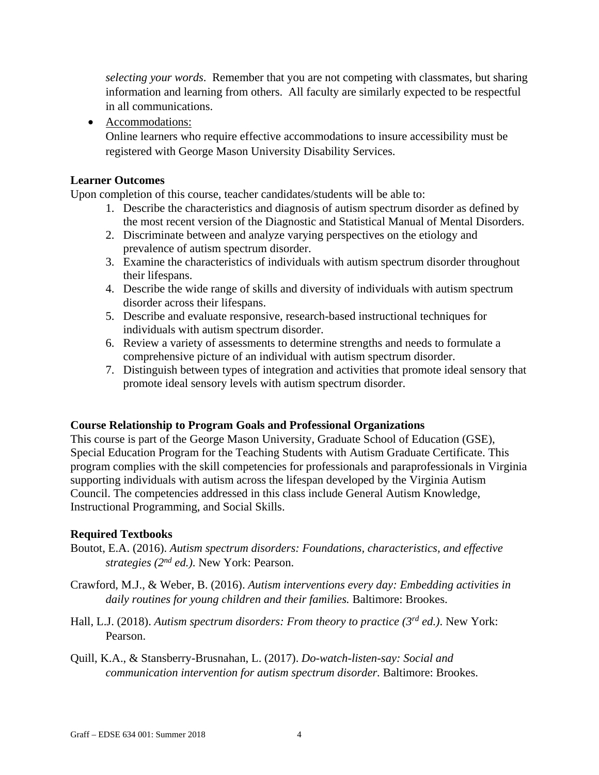*selecting your words*. Remember that you are not competing with classmates, but sharing information and learning from others. All faculty are similarly expected to be respectful in all communications.

• Accommodations:

Online learners who require effective accommodations to insure accessibility must be registered with George Mason University Disability Services.

## **Learner Outcomes**

Upon completion of this course, teacher candidates/students will be able to:

- 1. Describe the characteristics and diagnosis of autism spectrum disorder as defined by the most recent version of the Diagnostic and Statistical Manual of Mental Disorders.
- 2. Discriminate between and analyze varying perspectives on the etiology and prevalence of autism spectrum disorder.
- 3. Examine the characteristics of individuals with autism spectrum disorder throughout their lifespans.
- 4. Describe the wide range of skills and diversity of individuals with autism spectrum disorder across their lifespans.
- 5. Describe and evaluate responsive, research-based instructional techniques for individuals with autism spectrum disorder.
- 6. Review a variety of assessments to determine strengths and needs to formulate a comprehensive picture of an individual with autism spectrum disorder.
- 7. Distinguish between types of integration and activities that promote ideal sensory that promote ideal sensory levels with autism spectrum disorder.

## **Course Relationship to Program Goals and Professional Organizations**

This course is part of the George Mason University, Graduate School of Education (GSE), Special Education Program for the Teaching Students with Autism Graduate Certificate. This program complies with the skill competencies for professionals and paraprofessionals in Virginia supporting individuals with autism across the lifespan developed by the Virginia Autism Council. The competencies addressed in this class include General Autism Knowledge, Instructional Programming, and Social Skills.

#### **Required Textbooks**

- Boutot, E.A. (2016). *Autism spectrum disorders: Foundations, characteristics, and effective strategies (2nd ed.)*. New York: Pearson.
- Crawford, M.J., & Weber, B. (2016). *Autism interventions every day: Embedding activities in daily routines for young children and their families.* Baltimore: Brookes.
- Hall, L.J. (2018). *Autism spectrum disorders: From theory to practice (3rd ed.)*. New York: Pearson.
- Quill, K.A., & Stansberry-Brusnahan, L. (2017). *Do-watch-listen-say: Social and communication intervention for autism spectrum disorder.* Baltimore: Brookes.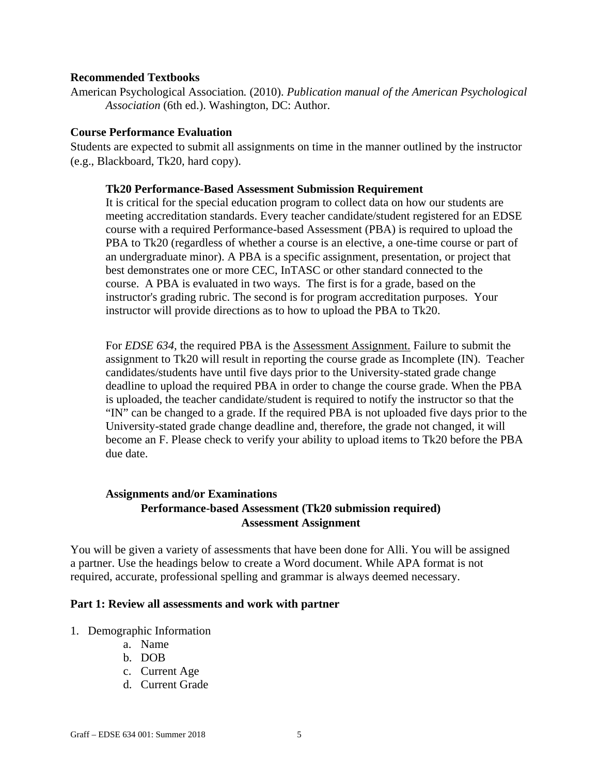#### **Recommended Textbooks**

American Psychological Association*.* (2010). *Publication manual of the American Psychological Association* (6th ed.). Washington, DC: Author.

#### **Course Performance Evaluation**

Students are expected to submit all assignments on time in the manner outlined by the instructor (e.g., Blackboard, Tk20, hard copy).

#### **Tk20 Performance-Based Assessment Submission Requirement**

It is critical for the special education program to collect data on how our students are meeting accreditation standards. Every teacher candidate/student registered for an EDSE course with a required Performance-based Assessment (PBA) is required to upload the PBA to Tk20 (regardless of whether a course is an elective, a one-time course or part of an undergraduate minor). A PBA is a specific assignment, presentation, or project that best demonstrates one or more CEC, InTASC or other standard connected to the course. A PBA is evaluated in two ways. The first is for a grade, based on the instructor's grading rubric. The second is for program accreditation purposes. Your instructor will provide directions as to how to upload the PBA to Tk20.

For *EDSE 634*, the required PBA is the **Assessment Assignment**. Failure to submit the assignment to Tk20 will result in reporting the course grade as Incomplete (IN). Teacher candidates/students have until five days prior to the University-stated grade change deadline to upload the required PBA in order to change the course grade. When the PBA is uploaded, the teacher candidate/student is required to notify the instructor so that the "IN" can be changed to a grade. If the required PBA is not uploaded five days prior to the University-stated grade change deadline and, therefore, the grade not changed, it will become an F. Please check to verify your ability to upload items to Tk20 before the PBA due date.

## **Assignments and/or Examinations Performance-based Assessment (Tk20 submission required) Assessment Assignment**

You will be given a variety of assessments that have been done for Alli. You will be assigned a partner. Use the headings below to create a Word document. While APA format is not required, accurate, professional spelling and grammar is always deemed necessary.

#### **Part 1: Review all assessments and work with partner**

- 1. Demographic Information
	- a. Name
	- b. DOB
	- c. Current Age
	- d. Current Grade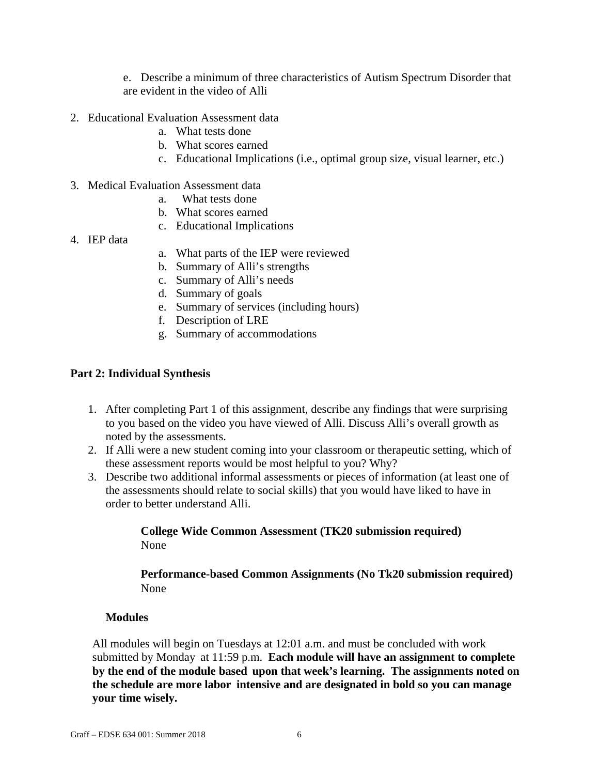e. Describe a minimum of three characteristics of Autism Spectrum Disorder that are evident in the video of Alli

- 2. Educational Evaluation Assessment data
	- a. What tests done
	- b. What scores earned
	- c. Educational Implications (i.e., optimal group size, visual learner, etc.)
- 3. Medical Evaluation Assessment data
	- a. What tests done
	- b. What scores earned
	- c. Educational Implications
- 4. IEP data
- a. What parts of the IEP were reviewed
- b. Summary of Alli's strengths
- c. Summary of Alli's needs
- d. Summary of goals
- e. Summary of services (including hours)
- f. Description of LRE
- g. Summary of accommodations

#### **Part 2: Individual Synthesis**

- 1. After completing Part 1 of this assignment, describe any findings that were surprising to you based on the video you have viewed of Alli. Discuss Alli's overall growth as noted by the assessments.
- 2. If Alli were a new student coming into your classroom or therapeutic setting, which of these assessment reports would be most helpful to you? Why?
- 3. Describe two additional informal assessments or pieces of information (at least one of the assessments should relate to social skills) that you would have liked to have in order to better understand Alli.

#### **College Wide Common Assessment (TK20 submission required)**  None

#### **Performance-based Common Assignments (No Tk20 submission required)**  None

#### **Modules**

All modules will begin on Tuesdays at 12:01 a.m. and must be concluded with work submitted by Monday at 11:59 p.m. **Each module will have an assignment to complete by the end of the module based upon that week's learning. The assignments noted on the schedule are more labor intensive and are designated in bold so you can manage your time wisely.**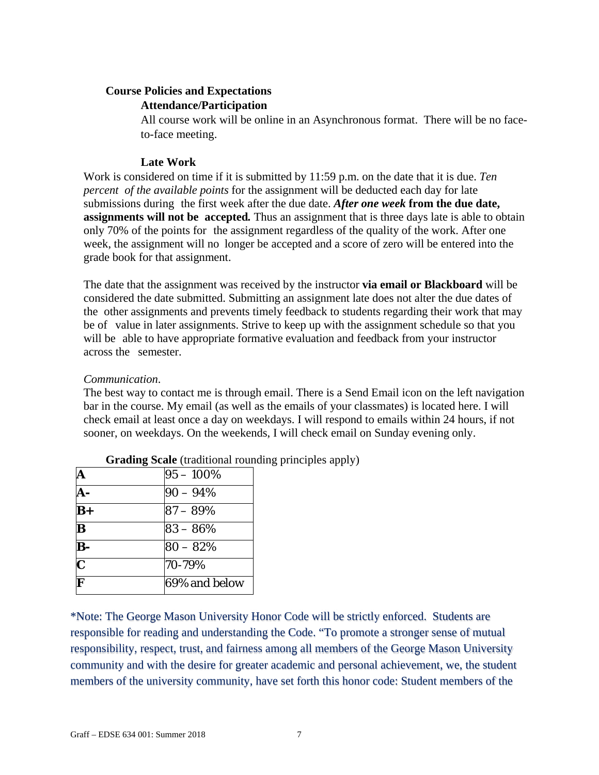## **Course Policies and Expectations**

#### **Attendance/Participation**

All course work will be online in an Asynchronous format. There will be no faceto-face meeting.

## **Late Work**

Work is considered on time if it is submitted by 11:59 p.m. on the date that it is due. *Ten percent of the available points* for the assignment will be deducted each day for late submissions during the first week after the due date. *After one week* **from the due date, assignments will not be accepted***.* Thus an assignment that is three days late is able to obtain only 70% of the points for the assignment regardless of the quality of the work. After one week, the assignment will no longer be accepted and a score of zero will be entered into the grade book for that assignment.

The date that the assignment was received by the instructor **via email or Blackboard** will be considered the date submitted. Submitting an assignment late does not alter the due dates of the other assignments and prevents timely feedback to students regarding their work that may be of value in later assignments. Strive to keep up with the assignment schedule so that you will be able to have appropriate formative evaluation and feedback from your instructor across the semester.

## *Communication*.

The best way to contact me is through email. There is a Send Email icon on the left navigation bar in the course. My email (as well as the emails of your classmates) is located here. I will check email at least once a day on weekdays. I will respond to emails within 24 hours, if not sooner, on weekdays. On the weekends, I will check email on Sunday evening only.

| A                       | $95 - 100\%$  |
|-------------------------|---------------|
|                         | $90 - 94\%$   |
| $B+$                    | $87 - 89\%$   |
| $\overline{\mathbf{B}}$ | $83 - 86\%$   |
| $\overline{B}$ -        | $80 - 82%$    |
| $\overline{\mathbf{C}}$ | 70-79%        |
| $\overline{\mathbf{F}}$ | 69% and below |

**Grading Scale** (traditional rounding principles apply)

\*Note: The George Mason University Honor Code will be strictly enforced. Students are responsible for reading and understanding the Code. "To promote a stronger sense of mutual responsibility, respect, trust, and fairness among all members of the George Mason University community and with the desire for greater academic and personal achievement, we, the student members of the university community, have set forth this honor code: Student members of the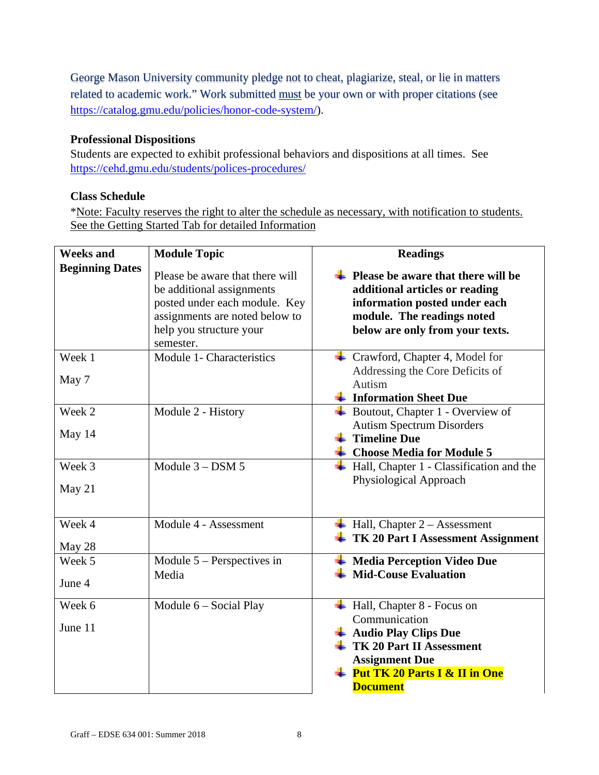George Mason University community pledge not to cheat, plagiarize, steal, or lie in matters related to academic work." Work submitted must be your own or with proper citations (see https://catalog.gmu.edu/policies/honor-code-system/).

## **Professional Dispositions**

Students are expected to exhibit professional behaviors and dispositions at all times. See https://cehd.gmu.edu/students/polices-procedures/

## **Class Schedule**

\*Note: Faculty reserves the right to alter the schedule as necessary, with notification to students. See the Getting Started Tab for detailed Information

| <b>Weeks and</b>       | <b>Module Topic</b>                                                                                                                                                     | <b>Readings</b>                                                                                                                                                                                                                           |  |
|------------------------|-------------------------------------------------------------------------------------------------------------------------------------------------------------------------|-------------------------------------------------------------------------------------------------------------------------------------------------------------------------------------------------------------------------------------------|--|
| <b>Beginning Dates</b> | Please be aware that there will<br>be additional assignments<br>posted under each module. Key<br>assignments are noted below to<br>help you structure your<br>semester. | Please be aware that there will be<br>additional articles or reading<br>information posted under each<br>module. The readings noted<br>below are only from your texts.                                                                    |  |
| Week 1<br>May 7        | Module 1- Characteristics                                                                                                                                               | $\leftarrow$ Crawford, Chapter 4, Model for<br>Addressing the Core Deficits of<br>Autism<br>$\frac{1}{\sqrt{2}}$ Information Sheet Due                                                                                                    |  |
| Week 2<br>May 14       | Module 2 - History                                                                                                                                                      | Boutout, Chapter 1 - Overview of<br><b>Autism Spectrum Disorders</b><br>$\ddag$ Timeline Due<br>$\overline{\phantom{a}}$ Choose Media for Module 5                                                                                        |  |
| Week 3<br>May 21       | Module $3 -$ DSM 5                                                                                                                                                      | Hall, Chapter 1 - Classification and the<br>Physiological Approach                                                                                                                                                                        |  |
| Week 4<br>May 28       | Module 4 - Assessment                                                                                                                                                   | $\overline{\phantom{a}}$ Hall, Chapter 2 – Assessment<br>$\perp$ TK 20 Part I Assessment Assignment                                                                                                                                       |  |
| Week 5<br>June 4       | Module $5$ – Perspectives in<br>Media                                                                                                                                   | $\overline{\phantom{a}}$ Media Perception Video Due<br>$\textcolor{red}{\textbf{4}}$ Mid-Couse Evaluation                                                                                                                                 |  |
| Week 6<br>June 11      | Module 6 – Social Play                                                                                                                                                  | $\overline{\phantom{a}}$ Hall, Chapter 8 - Focus on<br>Communication<br>Audio Play Clips Due<br>$\pm$ TK 20 Part II Assessment<br><b>Assignment Due</b><br>$\overline{\text{+} \text{ Put TK 20 Parts I & II in One}}$<br><b>Document</b> |  |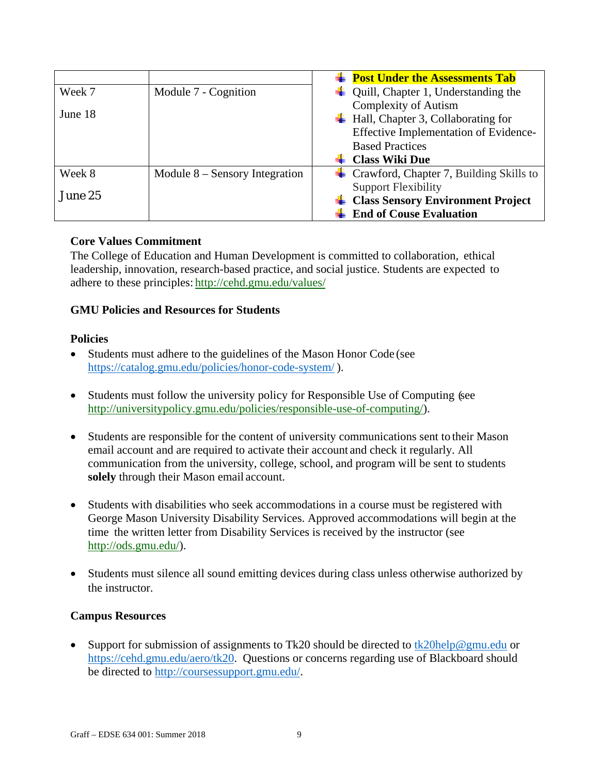|         |                                  | <b>Example 1</b> Post Under the Assessments Tab             |
|---------|----------------------------------|-------------------------------------------------------------|
| Week 7  | Module 7 - Cognition             | Quill, Chapter 1, Understanding the                         |
|         |                                  | <b>Complexity of Autism</b>                                 |
| June 18 |                                  | $\overline{\phantom{a}}$ Hall, Chapter 3, Collaborating for |
|         |                                  | Effective Implementation of Evidence-                       |
|         |                                  | <b>Based Practices</b>                                      |
|         |                                  | <b>Class Wiki Due</b>                                       |
| Week 8  | Module $8 -$ Sensory Integration | $\pm$ Crawford, Chapter 7, Building Skills to               |
|         |                                  | <b>Support Flexibility</b>                                  |
| June 25 |                                  | <b>Class Sensory Environment Project</b>                    |
|         |                                  | <b>End of Couse Evaluation</b>                              |

## **Core Values Commitment**

The College of Education and Human Development is committed to collaboration, ethical leadership, innovation, research-based practice, and social justice. Students are expected to adhere to these principles: http://cehd.gmu.edu/values/

## **GMU Policies and Resources for Students**

#### **Policies**

- Students must adhere to the guidelines of the Mason Honor Code (see https://catalog.gmu.edu/policies/honor-code-system/ ).
- Students must follow the university policy for Responsible Use of Computing (see http://universitypolicy.gmu.edu/policies/responsible-use-of-computing/).
- Students are responsible for the content of university communications sent to their Mason email account and are required to activate their account and check it regularly. All communication from the university, college, school, and program will be sent to students **solely** through their Mason email account.
- Students with disabilities who seek accommodations in a course must be registered with George Mason University Disability Services. Approved accommodations will begin at the time the written letter from Disability Services is received by the instructor (see http://ods.gmu.edu/).
- Students must silence all sound emitting devices during class unless otherwise authorized by the instructor.

#### **Campus Resources**

• Support for submission of assignments to Tk20 should be directed to  $\frac{tk20\text{help@gmu.edu}}{tk20\text{help@gmu.edu}}$  or https://cehd.gmu.edu/aero/tk20. Questions or concerns regarding use of Blackboard should be directed to http://coursessupport.gmu.edu/.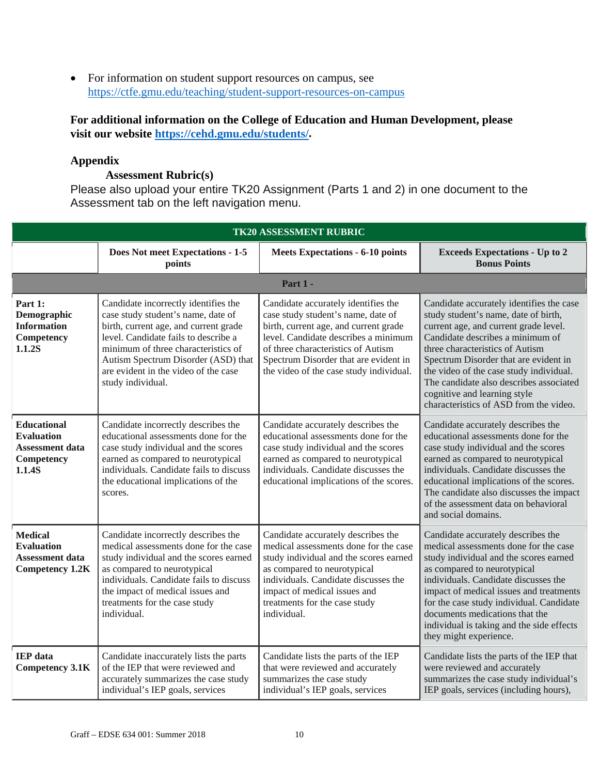• For information on student support resources on campus, see https://ctfe.gmu.edu/teaching/student-support-resources-on-campus

## **For additional information on the College of Education and Human Development, please visit our website https://cehd.gmu.edu/students/.**

## **Appendix**

#### **Assessment Rubric(s)**

Please also upload your entire TK20 Assignment (Parts 1 and 2) in one document to the Assessment tab on the left navigation menu.

| <b>TK20 ASSESSMENT RUBRIC</b>                                                             |                                                                                                                                                                                                                                                                                                        |                                                                                                                                                                                                                                                                                      |                                                                                                                                                                                                                                                                                                                                                                                                           |
|-------------------------------------------------------------------------------------------|--------------------------------------------------------------------------------------------------------------------------------------------------------------------------------------------------------------------------------------------------------------------------------------------------------|--------------------------------------------------------------------------------------------------------------------------------------------------------------------------------------------------------------------------------------------------------------------------------------|-----------------------------------------------------------------------------------------------------------------------------------------------------------------------------------------------------------------------------------------------------------------------------------------------------------------------------------------------------------------------------------------------------------|
|                                                                                           | Does Not meet Expectations - 1-5<br>points                                                                                                                                                                                                                                                             | <b>Meets Expectations - 6-10 points</b>                                                                                                                                                                                                                                              | <b>Exceeds Expectations - Up to 2</b><br><b>Bonus Points</b>                                                                                                                                                                                                                                                                                                                                              |
|                                                                                           |                                                                                                                                                                                                                                                                                                        | Part 1 -                                                                                                                                                                                                                                                                             |                                                                                                                                                                                                                                                                                                                                                                                                           |
| Part 1:<br>Demographic<br><b>Information</b><br>Competency<br>1.1.2S                      | Candidate incorrectly identifies the<br>case study student's name, date of<br>birth, current age, and current grade<br>level. Candidate fails to describe a<br>minimum of three characteristics of<br>Autism Spectrum Disorder (ASD) that<br>are evident in the video of the case<br>study individual. | Candidate accurately identifies the<br>case study student's name, date of<br>birth, current age, and current grade<br>level. Candidate describes a minimum<br>of three characteristics of Autism<br>Spectrum Disorder that are evident in<br>the video of the case study individual. | Candidate accurately identifies the case<br>study student's name, date of birth,<br>current age, and current grade level.<br>Candidate describes a minimum of<br>three characteristics of Autism<br>Spectrum Disorder that are evident in<br>the video of the case study individual.<br>The candidate also describes associated<br>cognitive and learning style<br>characteristics of ASD from the video. |
| <b>Educational</b><br><b>Evaluation</b><br><b>Assessment data</b><br>Competency<br>1.1.4S | Candidate incorrectly describes the<br>educational assessments done for the<br>case study individual and the scores<br>earned as compared to neurotypical<br>individuals. Candidate fails to discuss<br>the educational implications of the<br>scores.                                                 | Candidate accurately describes the<br>educational assessments done for the<br>case study individual and the scores<br>earned as compared to neurotypical<br>individuals. Candidate discusses the<br>educational implications of the scores.                                          | Candidate accurately describes the<br>educational assessments done for the<br>case study individual and the scores<br>earned as compared to neurotypical<br>individuals. Candidate discusses the<br>educational implications of the scores.<br>The candidate also discusses the impact<br>of the assessment data on behavioral<br>and social domains.                                                     |
| <b>Medical</b><br><b>Evaluation</b><br><b>Assessment data</b><br><b>Competency 1.2K</b>   | Candidate incorrectly describes the<br>medical assessments done for the case<br>study individual and the scores earned<br>as compared to neurotypical<br>individuals. Candidate fails to discuss<br>the impact of medical issues and<br>treatments for the case study<br>individual.                   | Candidate accurately describes the<br>medical assessments done for the case<br>study individual and the scores earned<br>as compared to neurotypical<br>individuals. Candidate discusses the<br>impact of medical issues and<br>treatments for the case study<br>individual.         | Candidate accurately describes the<br>medical assessments done for the case<br>study individual and the scores earned<br>as compared to neurotypical<br>individuals. Candidate discusses the<br>impact of medical issues and treatments<br>for the case study individual. Candidate<br>documents medications that the<br>individual is taking and the side effects<br>they might experience.              |
| <b>IEP</b> data<br><b>Competency 3.1K</b>                                                 | Candidate inaccurately lists the parts<br>of the IEP that were reviewed and<br>accurately summarizes the case study<br>individual's IEP goals, services                                                                                                                                                | Candidate lists the parts of the IEP<br>that were reviewed and accurately<br>summarizes the case study<br>individual's IEP goals, services                                                                                                                                           | Candidate lists the parts of the IEP that<br>were reviewed and accurately<br>summarizes the case study individual's<br>IEP goals, services (including hours),                                                                                                                                                                                                                                             |